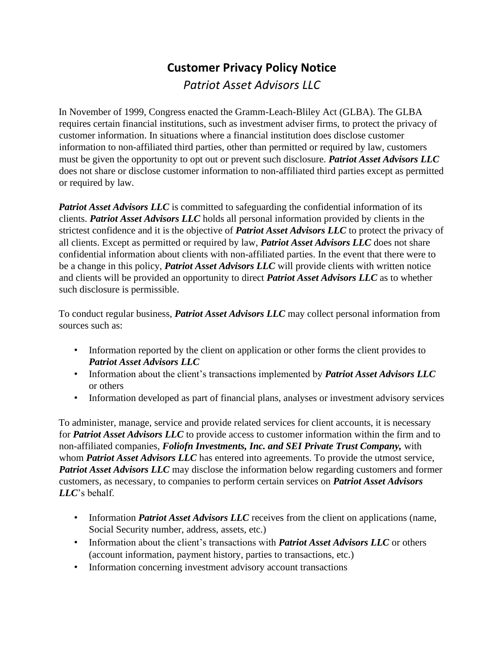## **Customer Privacy Policy Notice**  *Patriot Asset Advisors LLC*

In November of 1999, Congress enacted the Gramm-Leach-Bliley Act (GLBA). The GLBA requires certain financial institutions, such as investment adviser firms, to protect the privacy of customer information. In situations where a financial institution does disclose customer information to non-affiliated third parties, other than permitted or required by law, customers must be given the opportunity to opt out or prevent such disclosure. *Patriot Asset Advisors LLC*  does not share or disclose customer information to non-affiliated third parties except as permitted or required by law.

**Patriot Asset Advisors LLC** is committed to safeguarding the confidential information of its clients. *Patriot Asset Advisors LLC* holds all personal information provided by clients in the strictest confidence and it is the objective of *Patriot Asset Advisors LLC* to protect the privacy of all clients. Except as permitted or required by law, *Patriot Asset Advisors LLC* does not share confidential information about clients with non-affiliated parties. In the event that there were to be a change in this policy, *Patriot Asset Advisors LLC* will provide clients with written notice and clients will be provided an opportunity to direct *Patriot Asset Advisors LLC* as to whether such disclosure is permissible.

To conduct regular business, *Patriot Asset Advisors LLC* may collect personal information from sources such as:

- Information reported by the client on application or other forms the client provides to *Patriot Asset Advisors LLC*
- Information about the client's transactions implemented by *Patriot Asset Advisors LLC*  or others
- Information developed as part of financial plans, analyses or investment advisory services

To administer, manage, service and provide related services for client accounts, it is necessary for *Patriot Asset Advisors LLC* to provide access to customer information within the firm and to non-affiliated companies, *Foliofn Investments, Inc. and SEI Private Trust Company,* with whom *Patriot Asset Advisors LLC* has entered into agreements. To provide the utmost service, *Patriot Asset Advisors LLC* may disclose the information below regarding customers and former customers, as necessary, to companies to perform certain services on *Patriot Asset Advisors LLC*'s behalf.

- Information *Patriot Asset Advisors LLC* receives from the client on applications (name, Social Security number, address, assets, etc.)
- Information about the client's transactions with *Patriot Asset Advisors LLC* or others (account information, payment history, parties to transactions, etc.)
- Information concerning investment advisory account transactions